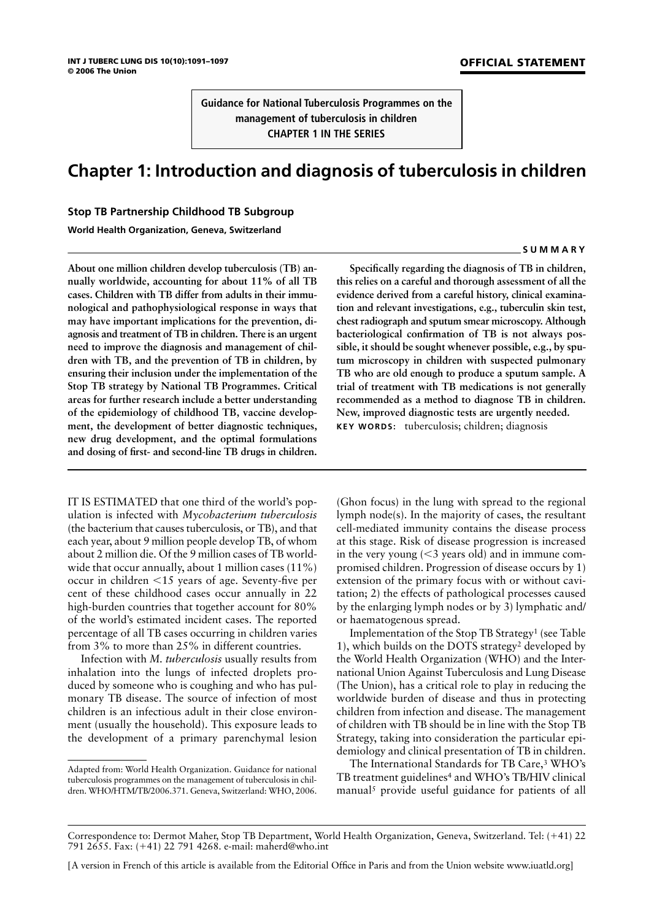**Guidance for National Tuberculosis Programmes on the management of tuberculosis in children CHAPTER 1 IN THE SERIES**

# **Chapter 1: Introduction and diagnosis of tuberculosis in children**

## **Stop TB Partnership Childhood TB Subgroup**

**World Health Organization, Geneva, Switzerland**

**About one million children develop tuberculosis (TB) annually worldwide, accounting for about 11% of all TB cases. Children with TB differ from adults in their immunological and pathophysiological response in ways that may have important implications for the prevention, diagnosis and treatment of TB in children. There is an urgent need to improve the diagnosis and management of children with TB, and the prevention of TB in children, by ensuring their inclusion under the implementation of the Stop TB strategy by National TB Programmes. Critical areas for further research include a better understanding of the epidemiology of childhood TB, vaccine development, the development of better diagnostic techniques, new drug development, and the optimal formulations and dosing of first- and second-line TB drugs in children.**

IT IS ESTIMATED that one third of the world's population is infected with *Mycobacterium tuberculosis* (the bacterium that causes tuberculosis, or TB), and that each year, about 9 million people develop TB, of whom about 2 million die. Of the 9 million cases of TB worldwide that occur annually, about 1 million cases (11%) occur in children -15 years of age. Seventy-five per cent of these childhood cases occur annually in 22 high-burden countries that together account for 80% of the world's estimated incident cases. The reported percentage of all TB cases occurring in children varies from 3% to more than 25% in different countries.

Infection with *M. tuberculosis* usually results from inhalation into the lungs of infected droplets produced by someone who is coughing and who has pulmonary TB disease. The source of infection of most children is an infectious adult in their close environment (usually the household). This exposure leads to the development of a primary parenchymal lesion

**Specifically regarding the diagnosis of TB in children, this relies on a careful and thorough assessment of all the evidence derived from a careful history, clinical examination and relevant investigations, e.g., tuberculin skin test, chest radiograph and sputum smear microscopy. Although bacteriological confirmation of TB is not always possible, it should be sought whenever possible, e.g., by sputum microscopy in children with suspected pulmonary TB who are old enough to produce a sputum sample. A trial of treatment with TB medications is not generally recommended as a method to diagnose TB in children. New, improved diagnostic tests are urgently needed. KEY WORDS:** tuberculosis; children; diagnosis

(Ghon focus) in the lung with spread to the regional lymph node(s). In the majority of cases, the resultant cell-mediated immunity contains the disease process at this stage. Risk of disease progression is increased in the very young  $(<$ 3 years old) and in immune compromised children. Progression of disease occurs by 1) extension of the primary focus with or without cavitation; 2) the effects of pathological processes caused by the enlarging lymph nodes or by 3) lymphatic and/ or haematogenous spread.

Implementation of the Stop TB Strategy1 (see Table 1), which builds on the DOTS strategy2 developed by the World Health Organization (WHO) and the International Union Against Tuberculosis and Lung Disease (The Union), has a critical role to play in reducing the worldwide burden of disease and thus in protecting children from infection and disease. The management of children with TB should be in line with the Stop TB Strategy, taking into consideration the particular epidemiology and clinical presentation of TB in children.

The International Standards for TB Care,3 WHO's TB treatment guidelines<sup>4</sup> and WHO's TB/HIV clinical manual<sup>5</sup> provide useful guidance for patients of all

### **SUMMARY**

Adapted from: World Health Organization. Guidance for national tuberculosis programmes on the management of tuberculosis in children. WHO/HTM/TB/2006.371. Geneva, Switzerland: WHO, 2006.

Correspondence to: Dermot Maher, Stop TB Department, World Health Organization, Geneva, Switzerland. Tel: (41) 22 791 2655. Fax: (41) 22 791 4268. e-mail: maherd@who.int

<sup>[</sup>A version in French of this article is available from the Editorial Office in Paris and from the Union website www.iuatld.org]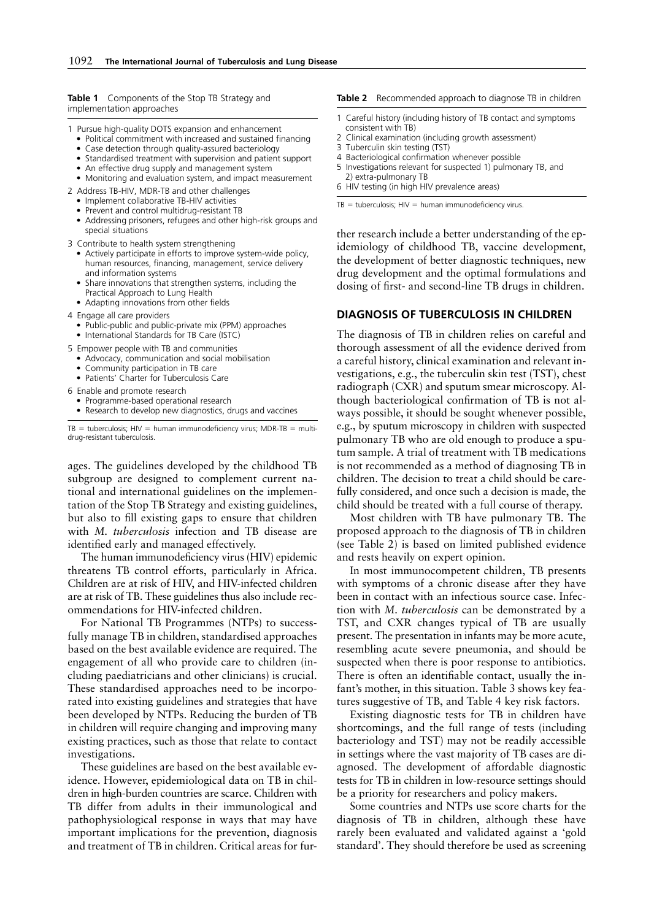**Table 1** Components of the Stop TB Strategy and implementation approaches

- 1 Pursue high-quality DOTS expansion and enhancement
	- Political commitment with increased and sustained financing
	- Case detection through quality-assured bacteriology
	- Standardised treatment with supervision and patient support
	- An effective drug supply and management system • Monitoring and evaluation system, and impact measurement
	-
- 2 Address TB-HIV, MDR-TB and other challenges
	- Implement collaborative TB-HIV activities • Prevent and control multidrug-resistant TB
	- Addressing prisoners, refugees and other high-risk groups and
- special situations
- 3 Contribute to health system strengthening
	- Actively participate in efforts to improve system-wide policy, human resources, financing, management, service delivery and information systems
	- Share innovations that strengthen systems, including the Practical Approach to Lung Health
	- Adapting innovations from other fields
- 4 Engage all care providers
	- Public-public and public-private mix (PPM) approaches
	- International Standards for TB Care (ISTC)
- 5 Empower people with TB and communities
- Advocacy, communication and social mobilisation
- Community participation in TB care
- Patients' Charter for Tuberculosis Care
- 6 Enable and promote research
	- Programme-based operational research
	- Research to develop new diagnostics, drugs and vaccines

 $TB =$  tuberculosis; HIV = human immunodeficiency virus; MDR-TB = multidrug-resistant tuberculosis.

ages. The guidelines developed by the childhood TB subgroup are designed to complement current national and international guidelines on the implementation of the Stop TB Strategy and existing guidelines, but also to fill existing gaps to ensure that children with *M. tuberculosis* infection and TB disease are identified early and managed effectively.

The human immunodeficiency virus (HIV) epidemic threatens TB control efforts, particularly in Africa. Children are at risk of HIV, and HIV-infected children are at risk of TB. These guidelines thus also include recommendations for HIV-infected children.

For National TB Programmes (NTPs) to successfully manage TB in children, standardised approaches based on the best available evidence are required. The engagement of all who provide care to children (including paediatricians and other clinicians) is crucial. These standardised approaches need to be incorporated into existing guidelines and strategies that have been developed by NTPs. Reducing the burden of TB in children will require changing and improving many existing practices, such as those that relate to contact investigations.

These guidelines are based on the best available evidence. However, epidemiological data on TB in children in high-burden countries are scarce. Children with TB differ from adults in their immunological and pathophysiological response in ways that may have important implications for the prevention, diagnosis and treatment of TB in children. Critical areas for fur-

#### **Table 2** Recommended approach to diagnose TB in children

- 1 Careful history (including history of TB contact and symptoms consistent with TB)
- 2 Clinical examination (including growth assessment)
- 3 Tuberculin skin testing (TST)
- 4 Bacteriological confirmation whenever possible 5 Investigations relevant for suspected 1) pulmonary TB, and 2) extra-pulmonary TB
- 6 HIV testing (in high HIV prevalence areas)

 $TB = \text{tuberculos}$ is; HIV = human immunodeficiency virus.

ther research include a better understanding of the epidemiology of childhood TB, vaccine development, the development of better diagnostic techniques, new drug development and the optimal formulations and dosing of first- and second-line TB drugs in children.

### **DIAGNOSIS OF TUBERCULOSIS IN CHILDREN**

The diagnosis of TB in children relies on careful and thorough assessment of all the evidence derived from a careful history, clinical examination and relevant investigations, e.g., the tuberculin skin test (TST), chest radiograph (CXR) and sputum smear microscopy. Although bacteriological confirmation of TB is not always possible, it should be sought whenever possible, e.g., by sputum microscopy in children with suspected pulmonary TB who are old enough to produce a sputum sample. A trial of treatment with TB medications is not recommended as a method of diagnosing TB in children. The decision to treat a child should be carefully considered, and once such a decision is made, the child should be treated with a full course of therapy.

Most children with TB have pulmonary TB. The proposed approach to the diagnosis of TB in children (see Table 2) is based on limited published evidence and rests heavily on expert opinion.

In most immunocompetent children, TB presents with symptoms of a chronic disease after they have been in contact with an infectious source case. Infection with *M. tuberculosis* can be demonstrated by a TST, and CXR changes typical of TB are usually present. The presentation in infants may be more acute, resembling acute severe pneumonia, and should be suspected when there is poor response to antibiotics. There is often an identifiable contact, usually the infant's mother, in this situation. Table 3 shows key features suggestive of TB, and Table 4 key risk factors.

Existing diagnostic tests for TB in children have shortcomings, and the full range of tests (including bacteriology and TST) may not be readily accessible in settings where the vast majority of TB cases are diagnosed. The development of affordable diagnostic tests for TB in children in low-resource settings should be a priority for researchers and policy makers.

Some countries and NTPs use score charts for the diagnosis of TB in children, although these have rarely been evaluated and validated against a 'gold standard'. They should therefore be used as screening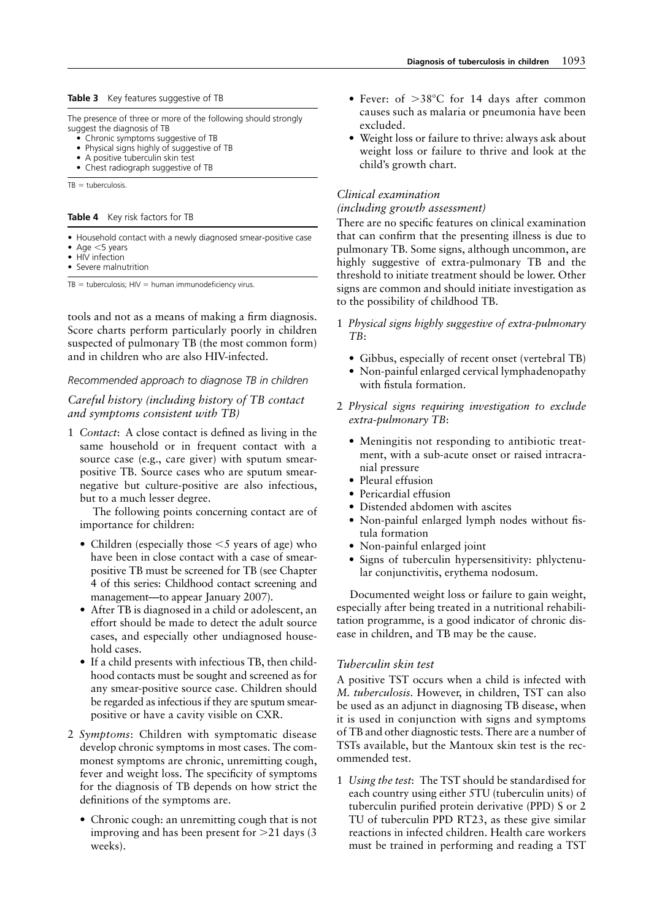#### **Table 3** Key features suggestive of TB

The presence of three or more of the following should strongly suggest the diagnosis of TB

- Chronic symptoms suggestive of TB
- Physical signs highly of suggestive of TB
- A positive tuberculin skin test
- Chest radiograph suggestive of TB

 $TB =$  tuberculosis.

**Table 4** Key risk factors for TB

- Household contact with a newly diagnosed smear-positive case
- Age  $<$ 5 years
- HIV infection
- Severe malnutrition

 $TB =$  tuberculosis;  $HIV =$  human immunodeficiency virus.

tools and not as a means of making a firm diagnosis. Score charts perform particularly poorly in children suspected of pulmonary TB (the most common form) and in children who are also HIV-infected.

#### *Recommended approach to diagnose TB in children*

*Careful history (including history of TB contact and symptoms consistent with TB)*

1 *Contact*: A close contact is defined as living in the same household or in frequent contact with a source case (e.g., care giver) with sputum smearpositive TB. Source cases who are sputum smearnegative but culture-positive are also infectious, but to a much lesser degree.

The following points concerning contact are of importance for children:

- Children (especially those  $\leq$  years of age) who have been in close contact with a case of smearpositive TB must be screened for TB (see Chapter 4 of this series: Childhood contact screening and management—to appear January 2007).
- After TB is diagnosed in a child or adolescent, an effort should be made to detect the adult source cases, and especially other undiagnosed household cases.
- If a child presents with infectious TB, then childhood contacts must be sought and screened as for any smear-positive source case. Children should be regarded as infectious if they are sputum smearpositive or have a cavity visible on CXR.
- 2 *Symptoms*: Children with symptomatic disease develop chronic symptoms in most cases. The commonest symptoms are chronic, unremitting cough, fever and weight loss. The specificity of symptoms for the diagnosis of TB depends on how strict the definitions of the symptoms are.
	- Chronic cough: an unremitting cough that is not improving and has been present for  $>21$  days (3) weeks).
- Fever: of  $>38^{\circ}$ C for 14 days after common causes such as malaria or pneumonia have been excluded.
- Weight loss or failure to thrive: always ask about weight loss or failure to thrive and look at the child's growth chart.

## *Clinical examination*

*(including growth assessment)*

There are no specific features on clinical examination that can confirm that the presenting illness is due to pulmonary TB. Some signs, although uncommon, are highly suggestive of extra-pulmonary TB and the threshold to initiate treatment should be lower. Other signs are common and should initiate investigation as to the possibility of childhood TB.

- 1 *Physical signs highly suggestive of extra-pulmonary TB*:
	- Gibbus, especially of recent onset (vertebral TB)
	- Non-painful enlarged cervical lymphadenopathy with fistula formation.
- 2 *Physical signs requiring investigation to exclude extra-pulmonary TB*:
	- Meningitis not responding to antibiotic treatment, with a sub-acute onset or raised intracranial pressure
	- Pleural effusion
	- Pericardial effusion
	- Distended abdomen with ascites
	- Non-painful enlarged lymph nodes without fistula formation
	- Non-painful enlarged joint
	- Signs of tuberculin hypersensitivity: phlyctenular conjunctivitis, erythema nodosum.

Documented weight loss or failure to gain weight, especially after being treated in a nutritional rehabilitation programme, is a good indicator of chronic disease in children, and TB may be the cause.

## *Tuberculin skin test*

A positive TST occurs when a child is infected with *M. tuberculosis.* However, in children, TST can also be used as an adjunct in diagnosing TB disease, when it is used in conjunction with signs and symptoms of TB and other diagnostic tests. There are a number of TSTs available, but the Mantoux skin test is the recommended test.

1 *Using the test*: The TST should be standardised for each country using either 5TU (tuberculin units) of tuberculin purified protein derivative (PPD) S or 2 TU of tuberculin PPD RT23, as these give similar reactions in infected children. Health care workers must be trained in performing and reading a TST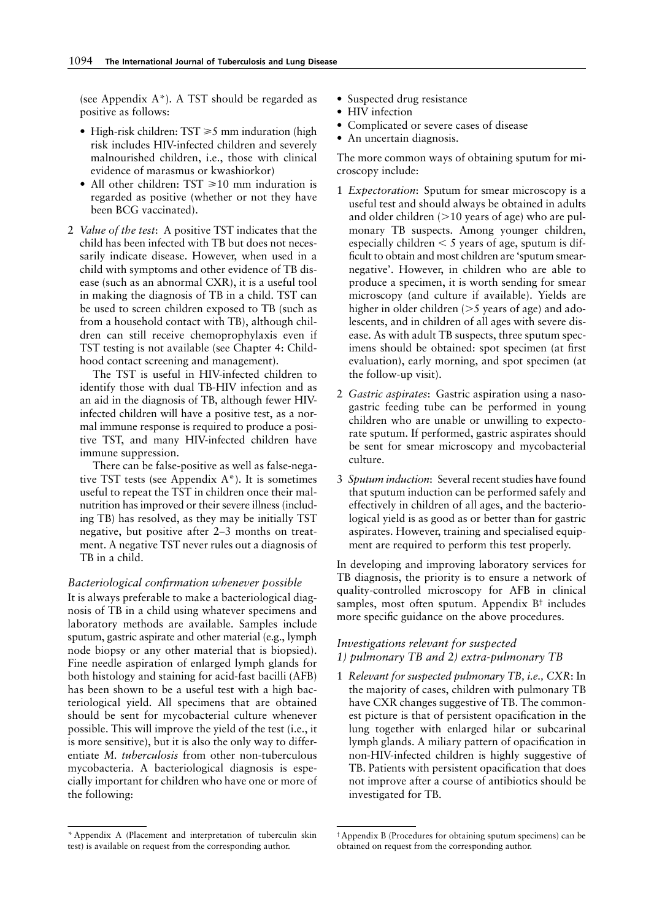(see Appendix  $A^*$ ). A TST should be regarded as positive as follows:

- High-risk children:  $TST \ge 5$  mm induration (high risk includes HIV-infected children and severely malnourished children, i.e., those with clinical evidence of marasmus or kwashiorkor)
- All other children:  $TST \ge 10$  mm induration is regarded as positive (whether or not they have been BCG vaccinated).
- 2 *Value of the test*: A positive TST indicates that the child has been infected with TB but does not necessarily indicate disease. However, when used in a child with symptoms and other evidence of TB disease (such as an abnormal CXR), it is a useful tool in making the diagnosis of TB in a child. TST can be used to screen children exposed to TB (such as from a household contact with TB), although children can still receive chemoprophylaxis even if TST testing is not available (see Chapter 4: Childhood contact screening and management).

The TST is useful in HIV-infected children to identify those with dual TB-HIV infection and as an aid in the diagnosis of TB, although fewer HIVinfected children will have a positive test, as a normal immune response is required to produce a positive TST, and many HIV-infected children have immune suppression.

There can be false-positive as well as false-negative TST tests (see Appendix A\*). It is sometimes useful to repeat the TST in children once their malnutrition has improved or their severe illness (including TB) has resolved, as they may be initially TST negative, but positive after 2–3 months on treatment. A negative TST never rules out a diagnosis of TB in a child.

#### *Bacteriological confirmation whenever possible*

It is always preferable to make a bacteriological diagnosis of TB in a child using whatever specimens and laboratory methods are available. Samples include sputum, gastric aspirate and other material (e.g., lymph node biopsy or any other material that is biopsied). Fine needle aspiration of enlarged lymph glands for both histology and staining for acid-fast bacilli (AFB) has been shown to be a useful test with a high bacteriological yield. All specimens that are obtained should be sent for mycobacterial culture whenever possible. This will improve the yield of the test (i.e., it is more sensitive), but it is also the only way to differentiate *M. tuberculosis* from other non-tuberculous mycobacteria. A bacteriological diagnosis is especially important for children who have one or more of the following:

- Suspected drug resistance
- HIV infection
- Complicated or severe cases of disease
- An uncertain diagnosis.

The more common ways of obtaining sputum for microscopy include:

- 1 *Expectoration*: Sputum for smear microscopy is a useful test and should always be obtained in adults and older children  $(>10$  years of age) who are pulmonary TB suspects. Among younger children, especially children  $<$  5 years of age, sputum is difficult to obtain and most children are 'sputum smearnegative'. However, in children who are able to produce a specimen, it is worth sending for smear microscopy (and culture if available). Yields are higher in older children  $(>= 5$  years of age) and adolescents, and in children of all ages with severe disease. As with adult TB suspects, three sputum specimens should be obtained: spot specimen (at first evaluation), early morning, and spot specimen (at the follow-up visit).
- 2 *Gastric aspirates*: Gastric aspiration using a nasogastric feeding tube can be performed in young children who are unable or unwilling to expectorate sputum. If performed, gastric aspirates should be sent for smear microscopy and mycobacterial culture.
- 3 *Sputum induction*: Several recent studies have found that sputum induction can be performed safely and effectively in children of all ages, and the bacteriological yield is as good as or better than for gastric aspirates. However, training and specialised equipment are required to perform this test properly.

In developing and improving laboratory services for TB diagnosis, the priority is to ensure a network of quality-controlled microscopy for AFB in clinical samples, most often sputum. Appendix B† includes more specific guidance on the above procedures.

## *Investigations relevant for suspected 1) pulmonary TB and 2) extra-pulmonary TB*

1 *Relevant for suspected pulmonary TB, i.e., CXR*: In the majority of cases, children with pulmonary TB have CXR changes suggestive of TB. The commonest picture is that of persistent opacification in the lung together with enlarged hilar or subcarinal lymph glands. A miliary pattern of opacification in non-HIV-infected children is highly suggestive of TB. Patients with persistent opacification that does not improve after a course of antibiotics should be investigated for TB.

<sup>\*</sup> Appendix A (Placement and interpretation of tuberculin skin test) is available on request from the corresponding author.

<sup>†</sup> Appendix B (Procedures for obtaining sputum specimens) can be obtained on request from the corresponding author.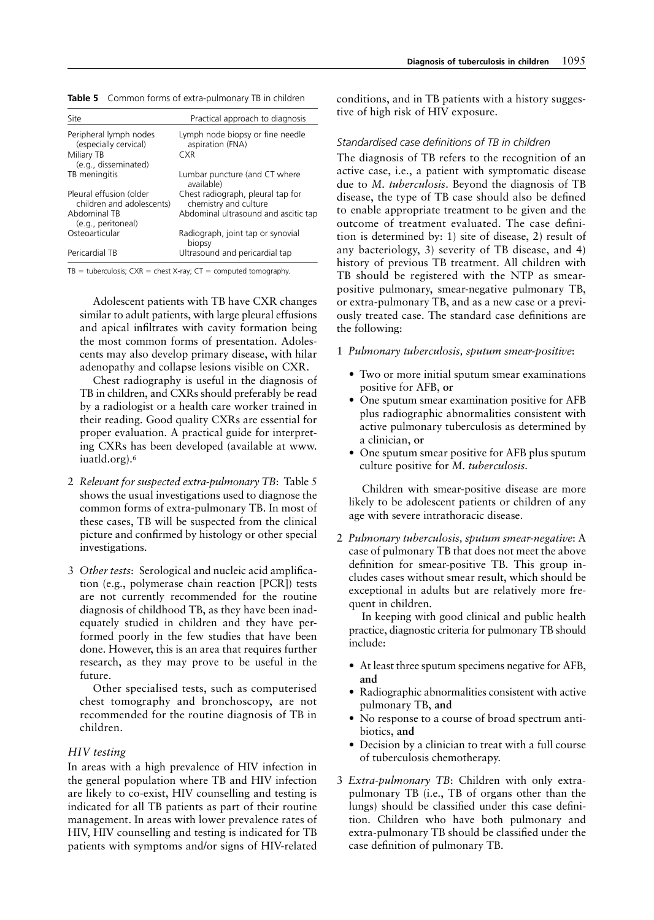| Site                                                 | Practical approach to diagnosis                            |
|------------------------------------------------------|------------------------------------------------------------|
| Peripheral lymph nodes<br>(especially cervical)      | Lymph node biopsy or fine needle<br>aspiration (FNA)       |
| Miliary TB<br>(e.g., disseminated)                   | CXR <sup></sup>                                            |
| TB meningitis                                        | Lumbar puncture (and CT where<br>available)                |
| Pleural effusion (older<br>children and adolescents) | Chest radiograph, pleural tap for<br>chemistry and culture |
| Abdominal TB<br>(e.g., peritoneal)                   | Abdominal ultrasound and ascitic tap                       |
| Osteoarticular                                       | Radiograph, joint tap or synovial<br>biopsy                |
| Pericardial TB                                       | Ultrasound and pericardial tap                             |

**Table 5** Common forms of extra-pulmonary TB in children

 $TB = \text{tuberculosis}$ ;  $CXR = \text{check X-ray}$ ;  $CT = \text{computed tomography}$ .

Adolescent patients with TB have CXR changes similar to adult patients, with large pleural effusions and apical infiltrates with cavity formation being the most common forms of presentation. Adolescents may also develop primary disease, with hilar adenopathy and collapse lesions visible on CXR.

Chest radiography is useful in the diagnosis of TB in children, and CXRs should preferably be read by a radiologist or a health care worker trained in their reading. Good quality CXRs are essential for proper evaluation. A practical guide for interpreting CXRs has been developed (available at www. iuatld.org).<sup>6</sup>

- 2 *Relevant for suspected extra-pulmonary TB*: Table 5 shows the usual investigations used to diagnose the common forms of extra-pulmonary TB. In most of these cases, TB will be suspected from the clinical picture and confirmed by histology or other special investigations.
- 3 *Other tests*: Serological and nucleic acid amplification (e.g., polymerase chain reaction [PCR]) tests are not currently recommended for the routine diagnosis of childhood TB, as they have been inadequately studied in children and they have performed poorly in the few studies that have been done. However, this is an area that requires further research, as they may prove to be useful in the future.

Other specialised tests, such as computerised chest tomography and bronchoscopy, are not recommended for the routine diagnosis of TB in children.

## *HIV testing*

In areas with a high prevalence of HIV infection in the general population where TB and HIV infection are likely to co-exist, HIV counselling and testing is indicated for all TB patients as part of their routine management. In areas with lower prevalence rates of HIV, HIV counselling and testing is indicated for TB patients with symptoms and/or signs of HIV-related

conditions, and in TB patients with a history suggestive of high risk of HIV exposure.

#### *Standardised case definitions of TB in children*

The diagnosis of TB refers to the recognition of an active case, i.e., a patient with symptomatic disease due to *M. tuberculosis*. Beyond the diagnosis of TB disease, the type of TB case should also be defined to enable appropriate treatment to be given and the outcome of treatment evaluated. The case definition is determined by: 1) site of disease, 2) result of any bacteriology, 3) severity of TB disease, and 4) history of previous TB treatment. All children with TB should be registered with the NTP as smearpositive pulmonary, smear-negative pulmonary TB, or extra-pulmonary TB, and as a new case or a previously treated case. The standard case definitions are the following:

- 1 *Pulmonary tuberculosis, sputum smear-positive*:
	- Two or more initial sputum smear examinations positive for AFB, **or**
	- One sputum smear examination positive for AFB plus radiographic abnormalities consistent with active pulmonary tuberculosis as determined by a clinician, **or**
	- One sputum smear positive for AFB plus sputum culture positive for *M. tuberculosis.*

Children with smear-positive disease are more likely to be adolescent patients or children of any age with severe intrathoracic disease.

2 *Pulmonary tuberculosis, sputum smear-negative*: A case of pulmonary TB that does not meet the above definition for smear-positive TB. This group includes cases without smear result, which should be exceptional in adults but are relatively more frequent in children.

In keeping with good clinical and public health practice, diagnostic criteria for pulmonary TB should include:

- At least three sputum specimens negative for AFB. **and**
- Radiographic abnormalities consistent with active pulmonary TB, **and**
- No response to a course of broad spectrum antibiotics, **and**
- Decision by a clinician to treat with a full course of tuberculosis chemotherapy.
- 3 *Extra-pulmonary TB*: Children with only extrapulmonary TB (i.e., TB of organs other than the lungs) should be classified under this case definition. Children who have both pulmonary and extra-pulmonary TB should be classified under the case definition of pulmonary TB.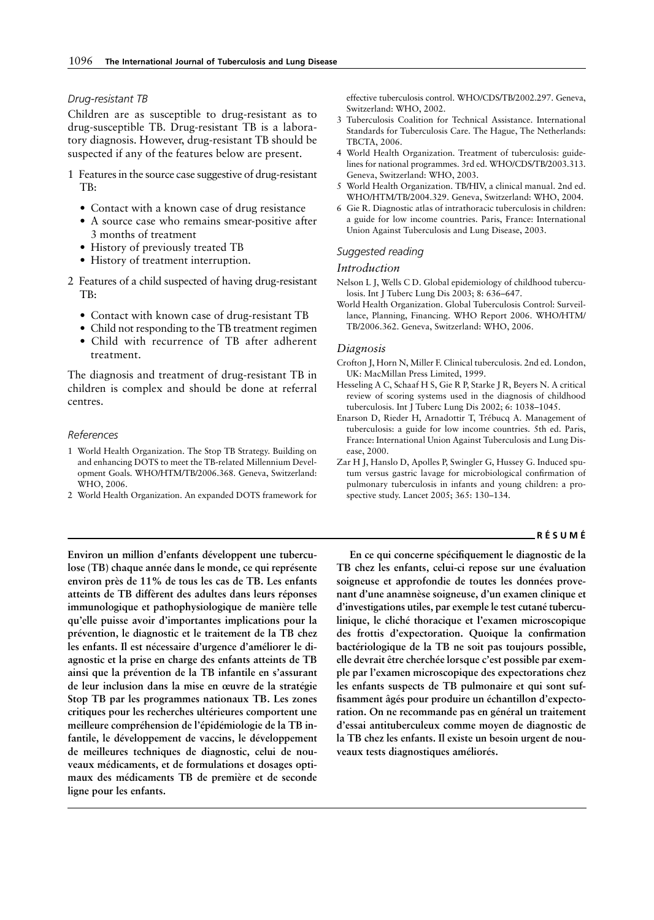#### *Drug-resistant TB*

Children are as susceptible to drug-resistant as to drug-susceptible TB. Drug-resistant TB is a laboratory diagnosis. However, drug-resistant TB should be suspected if any of the features below are present.

- 1 Features in the source case suggestive of drug-resistant TB:
	- Contact with a known case of drug resistance
	- A source case who remains smear-positive after 3 months of treatment
	- History of previously treated TB
	- History of treatment interruption.
- 2 Features of a child suspected of having drug-resistant TB:
	- Contact with known case of drug-resistant TB
	- Child not responding to the TB treatment regimen
	- Child with recurrence of TB after adherent treatment.

The diagnosis and treatment of drug-resistant TB in children is complex and should be done at referral centres.

#### *References*

- 1 World Health Organization. The Stop TB Strategy. Building on and enhancing DOTS to meet the TB-related Millennium Development Goals. WHO/HTM/TB/2006.368. Geneva, Switzerland: WHO, 2006.
- 2 World Health Organization. An expanded DOTS framework for

effective tuberculosis control. WHO/CDS/TB/2002.297. Geneva, Switzerland: WHO, 2002.

- 3 Tuberculosis Coalition for Technical Assistance. International Standards for Tuberculosis Care. The Hague, The Netherlands: TBCTA, 2006.
- 4 World Health Organization. Treatment of tuberculosis: guidelines for national programmes. 3rd ed. WHO/CDS/TB/2003.313. Geneva, Switzerland: WHO, 2003.
- 5 World Health Organization. TB/HIV, a clinical manual. 2nd ed. WHO/HTM/TB/2004.329. Geneva, Switzerland: WHO, 2004.
- 6 Gie R. Diagnostic atlas of intrathoracic tuberculosis in children: a guide for low income countries. Paris, France: International Union Against Tuberculosis and Lung Disease, 2003.

#### *Suggested reading*

## *Introduction*

- Nelson L J, Wells C D. Global epidemiology of childhood tuberculosis. Int J Tuberc Lung Dis 2003; 8: 636–647.
- World Health Organization. Global Tuberculosis Control: Surveillance, Planning, Financing. WHO Report 2006. WHO/HTM/ TB/2006.362. Geneva, Switzerland: WHO, 2006.

#### *Diagnosis*

- Crofton J, Horn N, Miller F. Clinical tuberculosis. 2nd ed. London, UK: MacMillan Press Limited, 1999.
- Hesseling A C, Schaaf H S, Gie R P, Starke J R, Beyers N. A critical review of scoring systems used in the diagnosis of childhood tuberculosis. Int J Tuberc Lung Dis 2002; 6: 1038–1045.
- Enarson D, Rieder H, Arnadottir T, Trébucq A. Management of tuberculosis: a guide for low income countries. 5th ed. Paris, France: International Union Against Tuberculosis and Lung Disease, 2000.
- Zar H J, Hanslo D, Apolles P, Swingler G, Hussey G. Induced sputum versus gastric lavage for microbiological confirmation of pulmonary tuberculosis in infants and young children: a prospective study. Lancet 2005; 365: 130–134.

#### **RÉSUMÉ**

**Environ un million d'enfants développent une tuberculose (TB) chaque année dans le monde, ce qui représente environ près de 11% de tous les cas de TB. Les enfants atteints de TB diffèrent des adultes dans leurs réponses immunologique et pathophysiologique de manière telle qu'elle puisse avoir d'importantes implications pour la prévention, le diagnostic et le traitement de la TB chez les enfants. Il est nécessaire d'urgence d'améliorer le diagnostic et la prise en charge des enfants atteints de TB ainsi que la prévention de la TB infantile en s'assurant de leur inclusion dans la mise en œuvre de la stratégie Stop TB par les programmes nationaux TB. Les zones critiques pour les recherches ultérieures comportent une meilleure compréhension de l'épidémiologie de la TB infantile, le développement de vaccins, le développement de meilleures techniques de diagnostic, celui de nouveaux médicaments, et de formulations et dosages optimaux des médicaments TB de première et de seconde ligne pour les enfants.**

**En ce qui concerne spécifiquement le diagnostic de la TB chez les enfants, celui-ci repose sur une évaluation soigneuse et approfondie de toutes les données provenant d'une anamnèse soigneuse, d'un examen clinique et d'investigations utiles, par exemple le test cutané tuberculinique, le cliché thoracique et l'examen microscopique des frottis d'expectoration. Quoique la confirmation bactériologique de la TB ne soit pas toujours possible, elle devrait être cherchée lorsque c'est possible par exemple par l'examen microscopique des expectorations chez les enfants suspects de TB pulmonaire et qui sont suffisamment âgés pour produire un échantillon d'expectoration. On ne recommande pas en général un traitement d'essai antituberculeux comme moyen de diagnostic de la TB chez les enfants. Il existe un besoin urgent de nouveaux tests diagnostiques améliorés.**